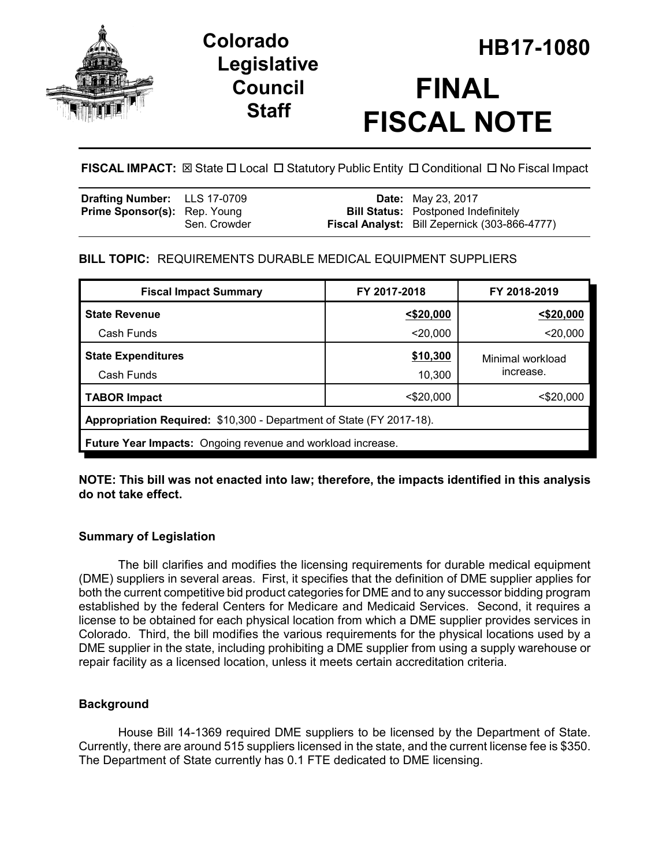

# **Legislative Council Staff**

# **HB17-1080 Colorado FINAL FISCAL NOTE**

**FISCAL IMPACT:** ⊠ State  $\Box$  Local  $\Box$  Statutory Public Entity  $\Box$  Conditional  $\Box$  No Fiscal Impact

| <b>Drafting Number:</b> LLS 17-0709 |              | <b>Date:</b> May 23, 2017                            |
|-------------------------------------|--------------|------------------------------------------------------|
| <b>Prime Sponsor(s):</b> Rep. Young |              | <b>Bill Status:</b> Postponed Indefinitely           |
|                                     | Sen. Crowder | <b>Fiscal Analyst:</b> Bill Zepernick (303-866-4777) |

# **BILL TOPIC:** REQUIREMENTS DURABLE MEDICAL EQUIPMENT SUPPLIERS

| <b>Fiscal Impact Summary</b>                                         | FY 2017-2018 | FY 2018-2019                  |  |  |  |
|----------------------------------------------------------------------|--------------|-------------------------------|--|--|--|
| <b>State Revenue</b>                                                 | $<$ \$20,000 | $<$ \$20,000                  |  |  |  |
| Cash Funds                                                           | $<$ 20,000   | $<$ 20,000                    |  |  |  |
| <b>State Expenditures</b>                                            | \$10,300     | Minimal workload<br>increase. |  |  |  |
| Cash Funds                                                           | 10,300       |                               |  |  |  |
| <b>TABOR Impact</b>                                                  | $<$ \$20,000 | $<$ \$20,000                  |  |  |  |
| Appropriation Required: \$10,300 - Department of State (FY 2017-18). |              |                               |  |  |  |
| <b>Future Year Impacts:</b> Ongoing revenue and workload increase.   |              |                               |  |  |  |

### **NOTE: This bill was not enacted into law; therefore, the impacts identified in this analysis do not take effect.**

# **Summary of Legislation**

The bill clarifies and modifies the licensing requirements for durable medical equipment (DME) suppliers in several areas. First, it specifies that the definition of DME supplier applies for both the current competitive bid product categories for DME and to any successor bidding program established by the federal Centers for Medicare and Medicaid Services. Second, it requires a license to be obtained for each physical location from which a DME supplier provides services in Colorado. Third, the bill modifies the various requirements for the physical locations used by a DME supplier in the state, including prohibiting a DME supplier from using a supply warehouse or repair facility as a licensed location, unless it meets certain accreditation criteria.

# **Background**

House Bill 14-1369 required DME suppliers to be licensed by the Department of State. Currently, there are around 515 suppliers licensed in the state, and the current license fee is \$350. The Department of State currently has 0.1 FTE dedicated to DME licensing.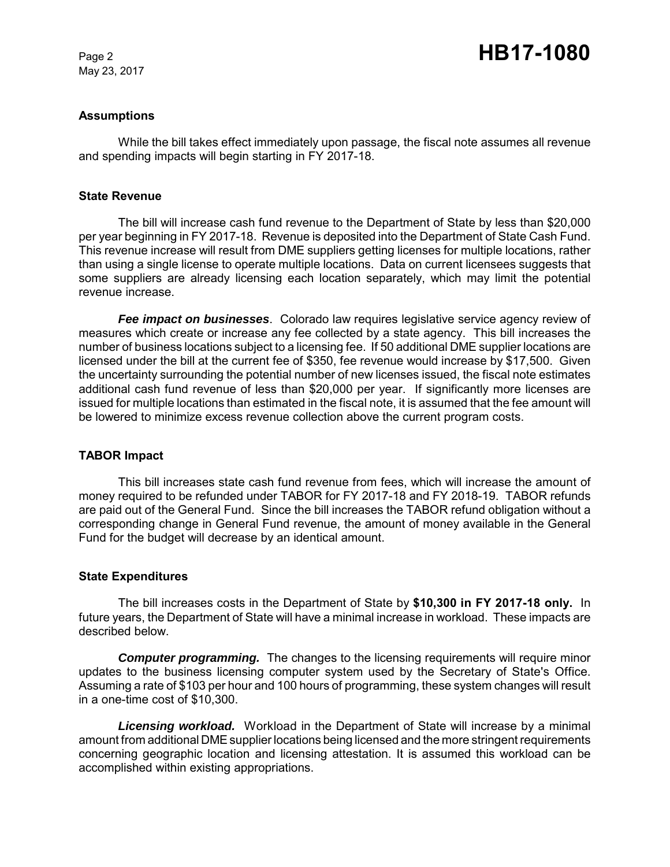May 23, 2017

#### **Assumptions**

While the bill takes effect immediately upon passage, the fiscal note assumes all revenue and spending impacts will begin starting in FY 2017-18.

#### **State Revenue**

The bill will increase cash fund revenue to the Department of State by less than \$20,000 per year beginning in FY 2017-18. Revenue is deposited into the Department of State Cash Fund. This revenue increase will result from DME suppliers getting licenses for multiple locations, rather than using a single license to operate multiple locations. Data on current licensees suggests that some suppliers are already licensing each location separately, which may limit the potential revenue increase.

*Fee impact on businesses*. Colorado law requires legislative service agency review of measures which create or increase any fee collected by a state agency. This bill increases the number of business locations subject to a licensing fee. If 50 additional DME supplier locations are licensed under the bill at the current fee of \$350, fee revenue would increase by \$17,500. Given the uncertainty surrounding the potential number of new licenses issued, the fiscal note estimates additional cash fund revenue of less than \$20,000 per year. If significantly more licenses are issued for multiple locations than estimated in the fiscal note, it is assumed that the fee amount will be lowered to minimize excess revenue collection above the current program costs.

#### **TABOR Impact**

This bill increases state cash fund revenue from fees, which will increase the amount of money required to be refunded under TABOR for FY 2017-18 and FY 2018-19. TABOR refunds are paid out of the General Fund. Since the bill increases the TABOR refund obligation without a corresponding change in General Fund revenue, the amount of money available in the General Fund for the budget will decrease by an identical amount.

#### **State Expenditures**

The bill increases costs in the Department of State by **\$10,300 in FY 2017-18 only.** In future years, the Department of State will have a minimal increase in workload. These impacts are described below.

**Computer programming.** The changes to the licensing requirements will require minor updates to the business licensing computer system used by the Secretary of State's Office. Assuming a rate of \$103 per hour and 100 hours of programming, these system changes will result in a one-time cost of \$10,300.

*Licensing workload.* Workload in the Department of State will increase by a minimal amount from additional DME supplier locations being licensed and the more stringent requirements concerning geographic location and licensing attestation. It is assumed this workload can be accomplished within existing appropriations.